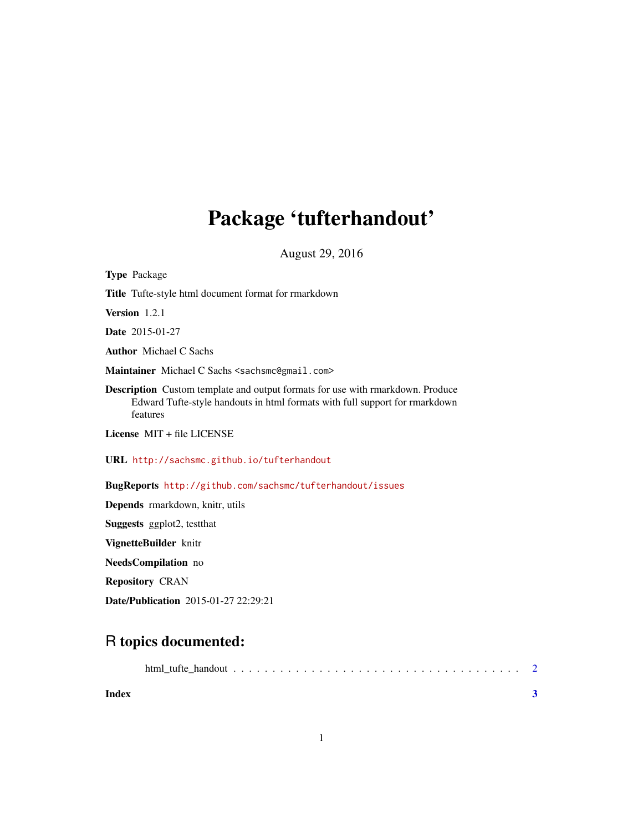## Package 'tufterhandout'

August 29, 2016

Type Package Title Tufte-style html document format for rmarkdown Version 1.2.1 Date 2015-01-27 Author Michael C Sachs Maintainer Michael C Sachs <sachsmc@gmail.com> Description Custom template and output formats for use with rmarkdown. Produce Edward Tufte-style handouts in html formats with full support for rmarkdown features License MIT + file LICENSE URL <http://sachsmc.github.io/tufterhandout> BugReports <http://github.com/sachsmc/tufterhandout/issues> Depends rmarkdown, knitr, utils Suggests ggplot2, testthat VignetteBuilder knitr NeedsCompilation no Repository CRAN

Date/Publication 2015-01-27 22:29:21

### R topics documented:

| Index |  |  |  |  |  |  |  |  |  |  |  |  |
|-------|--|--|--|--|--|--|--|--|--|--|--|--|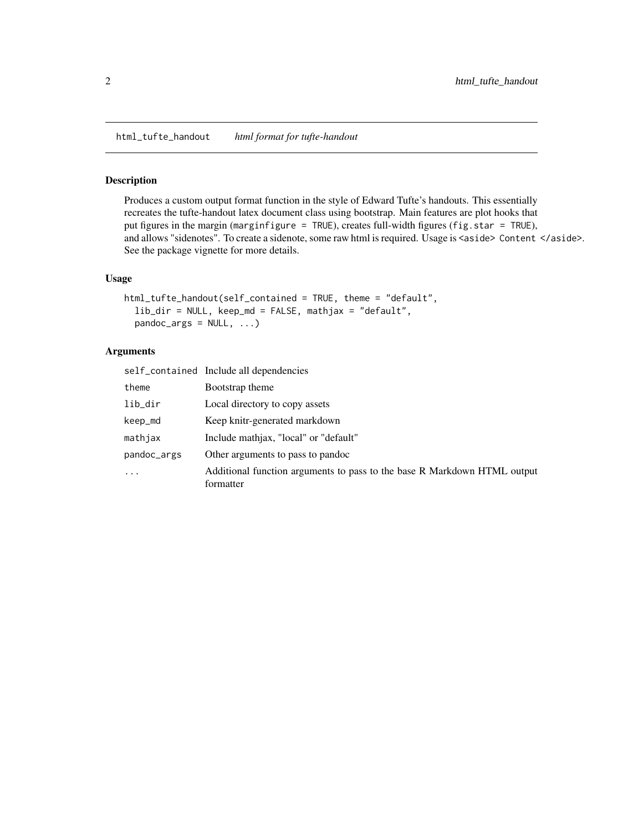<span id="page-1-0"></span>html\_tufte\_handout *html format for tufte-handout*

#### Description

Produces a custom output format function in the style of Edward Tufte's handouts. This essentially recreates the tufte-handout latex document class using bootstrap. Main features are plot hooks that put figures in the margin (marginfigure = TRUE), creates full-width figures (fig.star = TRUE), and allows "sidenotes". To create a sidenote, some raw html is required. Usage is <aside> Content </aside>. See the package vignette for more details.

#### Usage

```
html_tufte_handout(self_contained = TRUE, theme = "default",
 lib_dir = NULL, keep_md = FALSE, mathjax = "default",
pandoc_args = NULL, ...)
```
#### Arguments

|             | self_contained Include all dependencies                                               |
|-------------|---------------------------------------------------------------------------------------|
| theme       | Bootstrap theme                                                                       |
| lib_dir     | Local directory to copy assets                                                        |
| keep_md     | Keep knitr-generated markdown                                                         |
| mathjax     | Include mathiax, "local" or "default"                                                 |
| pandoc_args | Other arguments to pass to pandoc                                                     |
| $\ddotsc$   | Additional function arguments to pass to the base R Markdown HTML output<br>formatter |